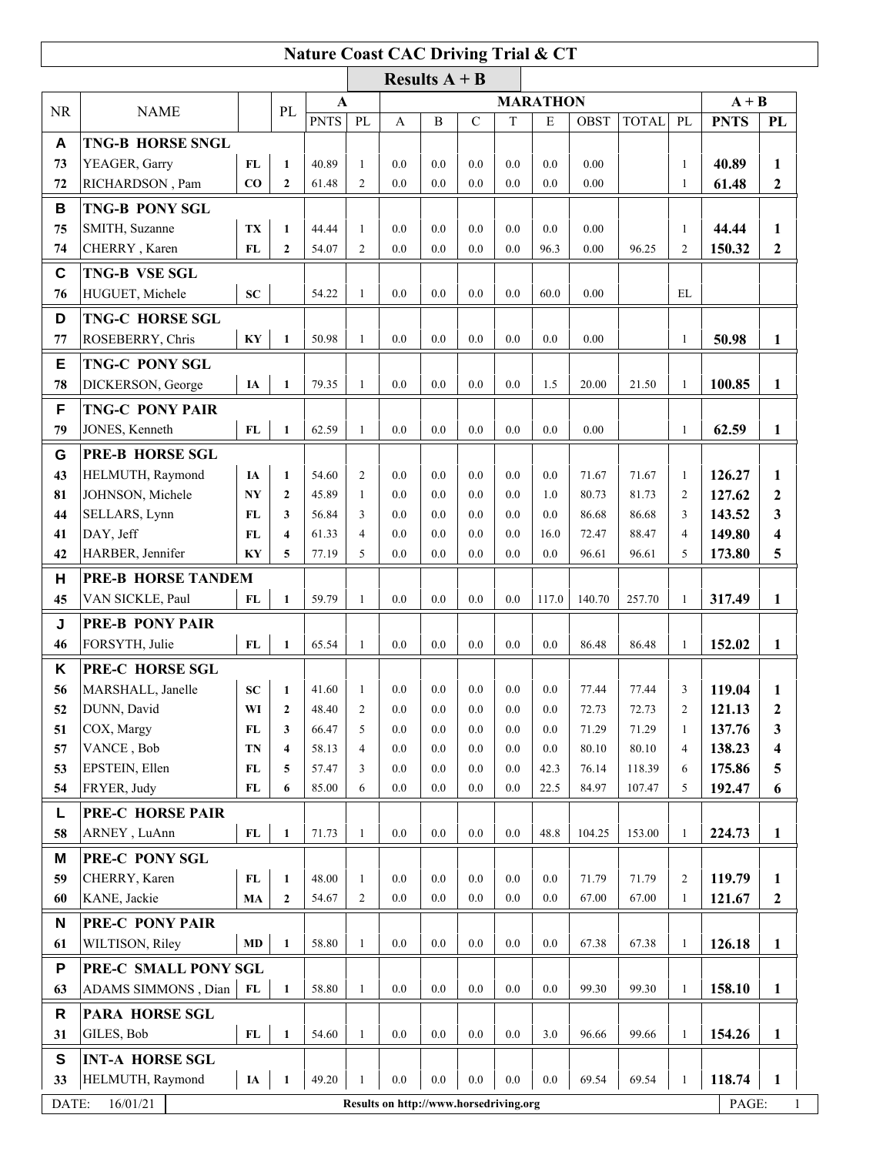## **Nature Coast CAC Driving Trial & CT**

|           | Results $A + B$                                    |                        |                         |             |                 |     |     |             |         |       |             |              |                |             |                  |
|-----------|----------------------------------------------------|------------------------|-------------------------|-------------|-----------------|-----|-----|-------------|---------|-------|-------------|--------------|----------------|-------------|------------------|
| <b>NR</b> | <b>NAME</b>                                        |                        | PL                      | $\mathbf A$ | <b>MARATHON</b> |     |     |             |         |       |             |              | $A + B$        |             |                  |
|           |                                                    |                        |                         | <b>PNTS</b> | PL              | A   | B   | $\mathbf C$ | T       | E     | <b>OBST</b> | <b>TOTAL</b> | PL             | <b>PNTS</b> | PL               |
| A         | <b>TNG-B HORSE SNGL</b>                            |                        |                         |             |                 |     |     |             |         |       |             |              |                |             |                  |
| 73        | YEAGER, Garry                                      | FL                     | $\mathbf{1}$            | 40.89       | $\mathbf{1}$    | 0.0 | 0.0 | 0.0         | 0.0     | 0.0   | 0.00        |              | 1              | 40.89       | 1                |
| 72        | RICHARDSON, Pam                                    | CO                     | $\mathbf{2}$            | 61.48       | $\overline{2}$  | 0.0 | 0.0 | 0.0         | 0.0     | 0.0   | 0.00        |              | 1              | 61.48       | $\boldsymbol{2}$ |
| В         | <b>TNG-B PONY SGL</b>                              |                        |                         |             |                 |     |     |             |         |       |             |              |                |             |                  |
| 75        | SMITH, Suzanne                                     | TX                     | $\mathbf{1}$            | 44.44       | 1               | 0.0 | 0.0 | 0.0         | 0.0     | 0.0   | 0.00        |              | 1              | 44.44       | 1                |
| 74        | CHERRY, Karen                                      | FL                     | $\overline{2}$          | 54.07       | $\overline{2}$  | 0.0 | 0.0 | 0.0         | $0.0\,$ | 96.3  | 0.00        | 96.25        | 2              | 150.32      | $\mathbf{2}$     |
| C         | <b>TNG-B VSE SGL</b>                               |                        |                         |             |                 |     |     |             |         |       |             |              |                |             |                  |
| 76        | HUGUET, Michele                                    | <b>SC</b>              |                         | 54.22       | $\mathbf{1}$    | 0.0 | 0.0 | 0.0         | 0.0     | 60.0  | 0.00        |              | EL             |             |                  |
| D         | <b>TNG-C HORSE SGL</b>                             |                        |                         |             |                 |     |     |             |         |       |             |              |                |             |                  |
| 77        | ROSEBERRY, Chris                                   | $\mathbf{K}\mathbf{Y}$ | $\mathbf{1}$            | 50.98       | $\mathbf{1}$    | 0.0 | 0.0 | 0.0         | 0.0     | 0.0   | 0.00        |              | $\mathbf{1}$   | 50.98       | 1                |
|           |                                                    |                        |                         |             |                 |     |     |             |         |       |             |              |                |             |                  |
| E         | <b>TNG-C PONY SGL</b>                              |                        |                         |             |                 |     |     |             |         |       |             |              |                |             |                  |
| 78        | DICKERSON, George                                  | <b>IA</b>              | $\mathbf{1}$            | 79.35       | $\mathbf{1}$    | 0.0 | 0.0 | 0.0         | 0.0     | 1.5   | 20.00       | 21.50        | $\mathbf{1}$   | 100.85      | 1                |
| F         | <b>TNG-C PONY PAIR</b>                             |                        |                         |             |                 |     |     |             |         |       |             |              |                |             |                  |
| 79        | JONES, Kenneth                                     | FL                     | $\mathbf{1}$            | 62.59       | $\mathbf{1}$    | 0.0 | 0.0 | 0.0         | 0.0     | 0.0   | 0.00        |              | 1              | 62.59       | $\mathbf{1}$     |
| G         | <b>PRE-B HORSE SGL</b>                             |                        |                         |             |                 |     |     |             |         |       |             |              |                |             |                  |
| 43        | HELMUTH, Raymond                                   | IA                     | $\mathbf{1}$            | 54.60       | $\overline{2}$  | 0.0 | 0.0 | 0.0         | 0.0     | 0.0   | 71.67       | 71.67        | $\mathbf{1}$   | 126.27      | 1                |
| 81        | JOHNSON, Michele                                   | NY                     | $\mathbf{2}$            | 45.89       | $\mathbf{1}$    | 0.0 | 0.0 | 0.0         | 0.0     | 1.0   | 80.73       | 81.73        | 2              | 127.62      | $\boldsymbol{2}$ |
| 44        | SELLARS, Lynn                                      | <b>FL</b>              | 3                       | 56.84       | 3               | 0.0 | 0.0 | 0.0         | 0.0     | 0.0   | 86.68       | 86.68        | 3              | 143.52      | 3                |
| 41        | DAY, Jeff                                          | FL                     | $\overline{\mathbf{4}}$ | 61.33       | $\overline{4}$  | 0.0 | 0.0 | 0.0         | 0.0     | 16.0  | 72.47       | 88.47        | 4              | 149.80      | 4                |
| 42        | HARBER, Jennifer                                   | KY                     | 5                       | 77.19       | 5               | 0.0 | 0.0 | 0.0         | 0.0     | 0.0   | 96.61       | 96.61        | 5              | 173.80      | 5                |
| н         | <b>PRE-B HORSE TANDEM</b>                          |                        |                         |             |                 |     |     |             |         |       |             |              |                |             |                  |
| 45        | VAN SICKLE, Paul                                   | FL                     | $\mathbf{1}$            | 59.79       | $\mathbf{1}$    | 0.0 | 0.0 | 0.0         | 0.0     | 117.0 | 140.70      | 257.70       | $\mathbf{1}$   | 317.49      | 1                |
| J         | <b>PRE-B PONY PAIR</b>                             |                        |                         |             |                 |     |     |             |         |       |             |              |                |             |                  |
| 46        | FORSYTH, Julie                                     | FL                     | $\mathbf{1}$            | 65.54       | $\mathbf{1}$    | 0.0 | 0.0 | 0.0         | 0.0     | 0.0   | 86.48       | 86.48        | $\mathbf{1}$   | 152.02      | $\mathbf{1}$     |
| Κ         | PRE-C HORSE SGL                                    |                        |                         |             |                 |     |     |             |         |       |             |              |                |             |                  |
| 56        | MARSHALL, Janelle                                  | <b>SC</b>              | $\mathbf{1}$            | 41.60       | $\mathbf{1}$    | 0.0 | 0.0 | 0.0         | 0.0     | 0.0   | 77.44       | 77.44        | 3              | 119.04      | 1                |
| 52        | DUNN, David                                        | WI                     | $\overline{2}$          | 48.40       | 2               | 0.0 | 0.0 | 0.0         | 0.0     | 0.0   | 72.73       | 72.73        | $\overline{c}$ | 121.13      | $\boldsymbol{2}$ |
| 51        | COX, Margy                                         | FL                     | 3                       | 66.47       | 5               | 0.0 | 0.0 | 0.0         | 0.0     | 0.0   | 71.29       | 71.29        | 1              | 137.76      | 3                |
| 57        | VANCE, Bob                                         | <b>TN</b>              | 4                       | 58.13       | $\overline{4}$  | 0.0 | 0.0 | 0.0         | 0.0     | 0.0   | 80.10       | 80.10        | 4              | 138.23      | 4                |
| 53        | EPSTEIN, Ellen                                     | FL                     | 5                       | 57.47       | 3               | 0.0 | 0.0 | 0.0         | 0.0     | 42.3  | 76.14       | 118.39       | 6              | 175.86      | 5                |
| 54        | FRYER, Judy                                        | FL                     | 6                       | 85.00       | 6               | 0.0 | 0.0 | 0.0         | 0.0     | 22.5  | 84.97       | 107.47       | 5              | 192.47      | 6                |
| Г         | <b>PRE-C HORSE PAIR</b>                            |                        |                         |             |                 |     |     |             |         |       |             |              |                |             |                  |
| 58        | ARNEY, LuAnn                                       | FL                     | $\mathbf{1}$            | 71.73       | 1               | 0.0 | 0.0 | 0.0         | 0.0     | 48.8  | 104.25      | 153.00       | $\mathbf{1}$   | 224.73      | 1                |
| M         | PRE-C PONY SGL                                     |                        |                         |             |                 |     |     |             |         |       |             |              |                |             |                  |
| 59        | CHERRY, Karen                                      | FL                     | $\mathbf{1}$            | 48.00       | -1              | 0.0 | 0.0 | 0.0         | 0.0     | 0.0   | 71.79       | 71.79        | 2              | 119.79      | 1                |
| 60        | KANE, Jackie                                       | MA                     | $\mathbf{2}$            | 54.67       | $\overline{c}$  | 0.0 | 0.0 | 0.0         | 0.0     | 0.0   | 67.00       | 67.00        | 1              | 121.67      | $\boldsymbol{2}$ |
| N         | PRE-C PONY PAIR                                    |                        |                         |             |                 |     |     |             |         |       |             |              |                |             |                  |
| 61        | WILTISON, Riley                                    | MD                     | $\mathbf{1}$            | 58.80       | $\mathbf{1}$    | 0.0 | 0.0 | 0.0         | 0.0     | 0.0   | 67.38       | 67.38        | $\mathbf{1}$   | 126.18      | $\mathbf{1}$     |
|           |                                                    |                        |                         |             |                 |     |     |             |         |       |             |              |                |             |                  |
| P<br>63   | PRE-C SMALL PONY SGL<br>ADAMS SIMMONS, Dian        | FL                     | $\mathbf{1}$            | 58.80       | $\mathbf{1}$    | 0.0 | 0.0 | 0.0         | 0.0     | 0.0   | 99.30       | 99.30        |                |             |                  |
|           |                                                    |                        |                         |             |                 |     |     |             |         |       |             |              | 1              | 158.10      | 1                |
| R         | <b>PARA HORSE SGL</b>                              |                        |                         |             |                 |     |     |             |         |       |             |              |                |             |                  |
| 31        | GILES, Bob                                         | FL                     | $\mathbf{1}$            | 54.60       | 1               | 0.0 | 0.0 | 0.0         | 0.0     | 3.0   | 96.66       | 99.66        | 1              | 154.26      | 1                |
| S         | <b>INT-A HORSE SGL</b>                             |                        |                         |             |                 |     |     |             |         |       |             |              |                |             |                  |
| 33        | HELMUTH, Raymond                                   | $I\!\!A$               | 1                       | 49.20       | 1               | 0.0 | 0.0 | 0.0         | 0.0     | 0.0   | 69.54       | 69.54        | 1              | 118.74      | $\mathbf{1}$     |
| DATE:     | 16/01/21<br>Results on http://www.horsedriving.org |                        |                         |             |                 |     |     |             |         | PAGE: | 1           |              |                |             |                  |